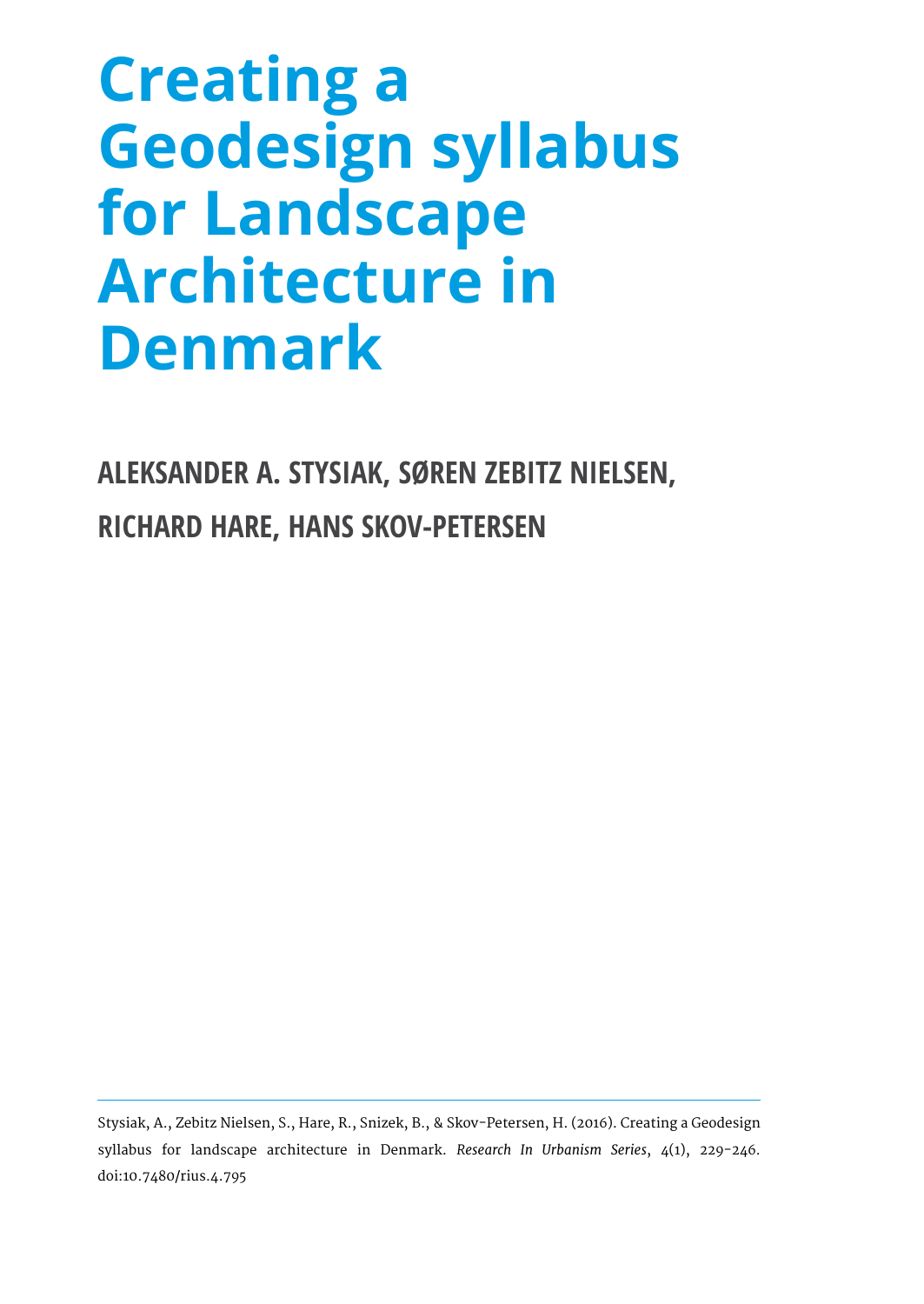# **Creating a Geodesign syllabus for Landscape Architecture in Denmark**

**ALEKSANDER A. STYSIAK, SØREN ZEBITZ NIELSEN, RICHARD HARE, HANS SKOV-PETERSEN**

Stysiak, A., Zebitz Nielsen, S., Hare, R., Snizek, B., & Skov-Petersen, H. (2016). Creating a Geodesign syllabus for landscape architecture in Denmark. *Research In Urbanism Series*, 4(1), 229-246. doi:10.7480/rius.4.795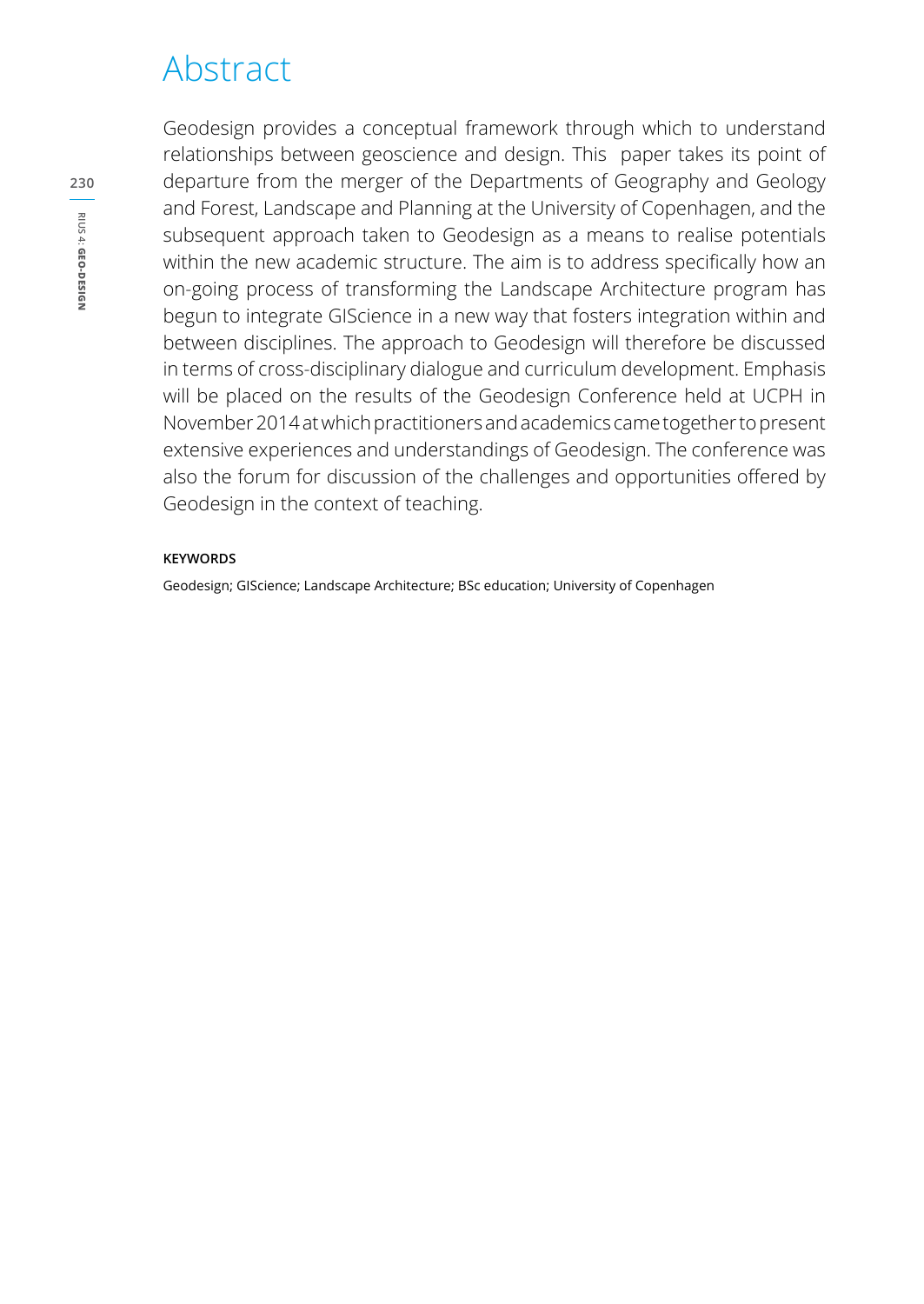# Abstract

Geodesign provides a conceptual framework through which to understand relationships between geoscience and design. This paper takes its point of departure from the merger of the Departments of Geography and Geology and Forest, Landscape and Planning at the University of Copenhagen, and the subsequent approach taken to Geodesign as a means to realise potentials within the new academic structure. The aim is to address specifically how an on-going process of transforming the Landscape Architecture program has begun to integrate GIScience in a new way that fosters integration within and between disciplines. The approach to Geodesign will therefore be discussed in terms of cross-disciplinary dialogue and curriculum development. Emphasis will be placed on the results of the Geodesign Conference held at UCPH in November 2014 at which practitioners and academics came together to present extensive experiences and understandings of Geodesign. The conference was also the forum for discussion of the challenges and opportunities offered by Geodesign in the context of teaching.

#### **KEYWORDS**

Geodesign; GIScience; Landscape Architecture; BSc education; University of Copenhagen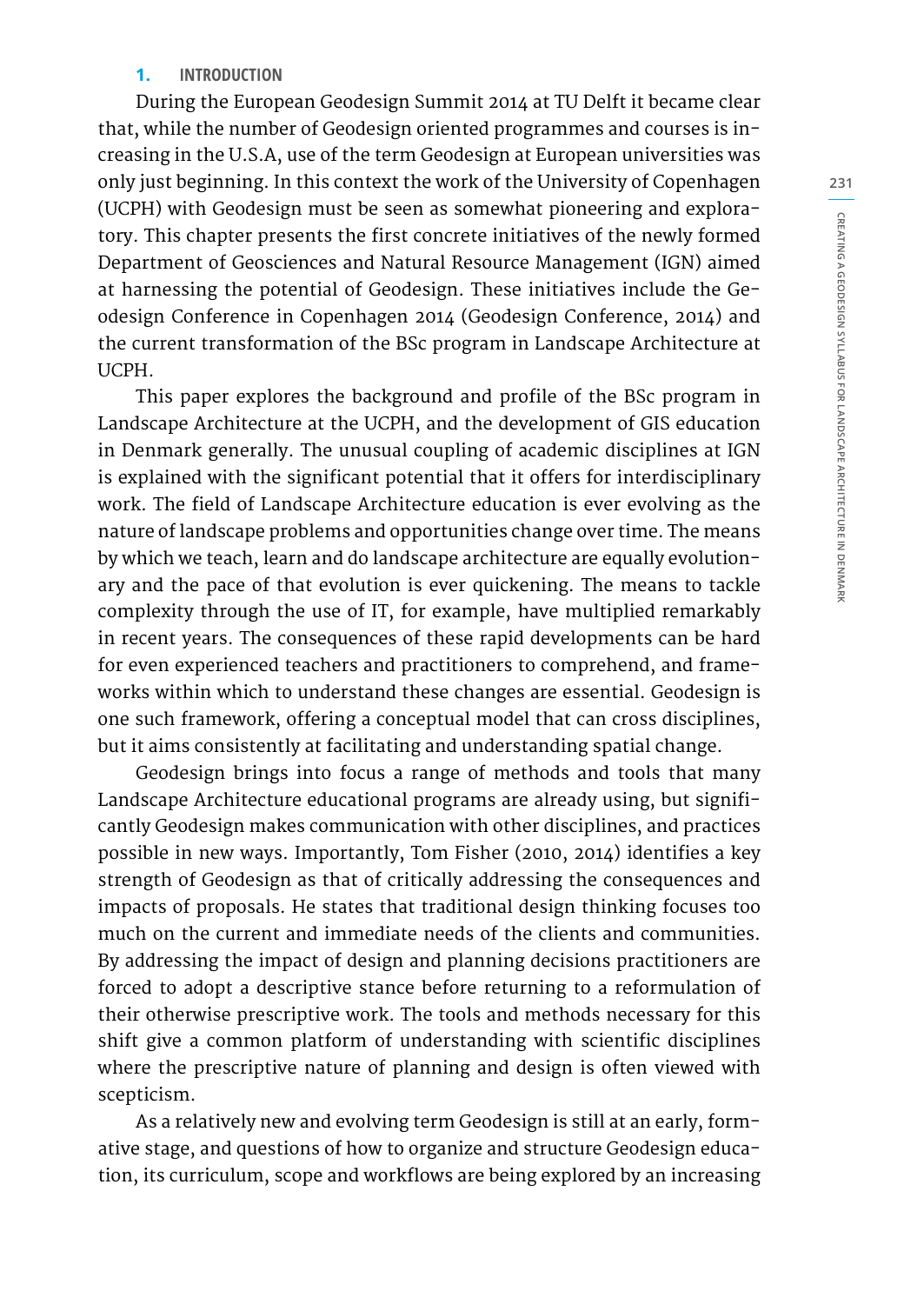## **1. INTRODUCTION**

During the European Geodesign Summit 2014 at TU Delft it became clear that, while the number of Geodesign oriented programmes and courses is increasing in the U.S.A, use of the term Geodesign at European universities was only just beginning. In this context the work of the University of Copenhagen (UCPH) with Geodesign must be seen as somewhat pioneering and exploratory. This chapter presents the first concrete initiatives of the newly formed Department of Geosciences and Natural Resource Management (IGN) aimed at harnessing the potential of Geodesign. These initiatives include the Geodesign Conference in Copenhagen 2014 (Geodesign Conference, 2014) and the current transformation of the BSc program in Landscape Architecture at UCPH.

This paper explores the background and profile of the BSc program in Landscape Architecture at the UCPH, and the development of GIS education in Denmark generally. The unusual coupling of academic disciplines at IGN is explained with the significant potential that it offers for interdisciplinary work. The field of Landscape Architecture education is ever evolving as the nature of landscape problems and opportunities change over time. The means by which we teach, learn and do landscape architecture are equally evolutionary and the pace of that evolution is ever quickening. The means to tackle complexity through the use of IT, for example, have multiplied remarkably in recent years. The consequences of these rapid developments can be hard for even experienced teachers and practitioners to comprehend, and frameworks within which to understand these changes are essential. Geodesign is one such framework, offering a conceptual model that can cross disciplines, but it aims consistently at facilitating and understanding spatial change.

Geodesign brings into focus a range of methods and tools that many Landscape Architecture educational programs are already using, but significantly Geodesign makes communication with other disciplines, and practices possible in new ways. Importantly, Tom Fisher (2010, 2014) identifies a key strength of Geodesign as that of critically addressing the consequences and impacts of proposals. He states that traditional design thinking focuses too much on the current and immediate needs of the clients and communities. By addressing the impact of design and planning decisions practitioners are forced to adopt a descriptive stance before returning to a reformulation of their otherwise prescriptive work. The tools and methods necessary for this shift give a common platform of understanding with scientific disciplines where the prescriptive nature of planning and design is often viewed with scepticism.

As a relatively new and evolving term Geodesign is still at an early, formative stage, and questions of how to organize and structure Geodesign education, its curriculum, scope and workflows are being explored by an increasing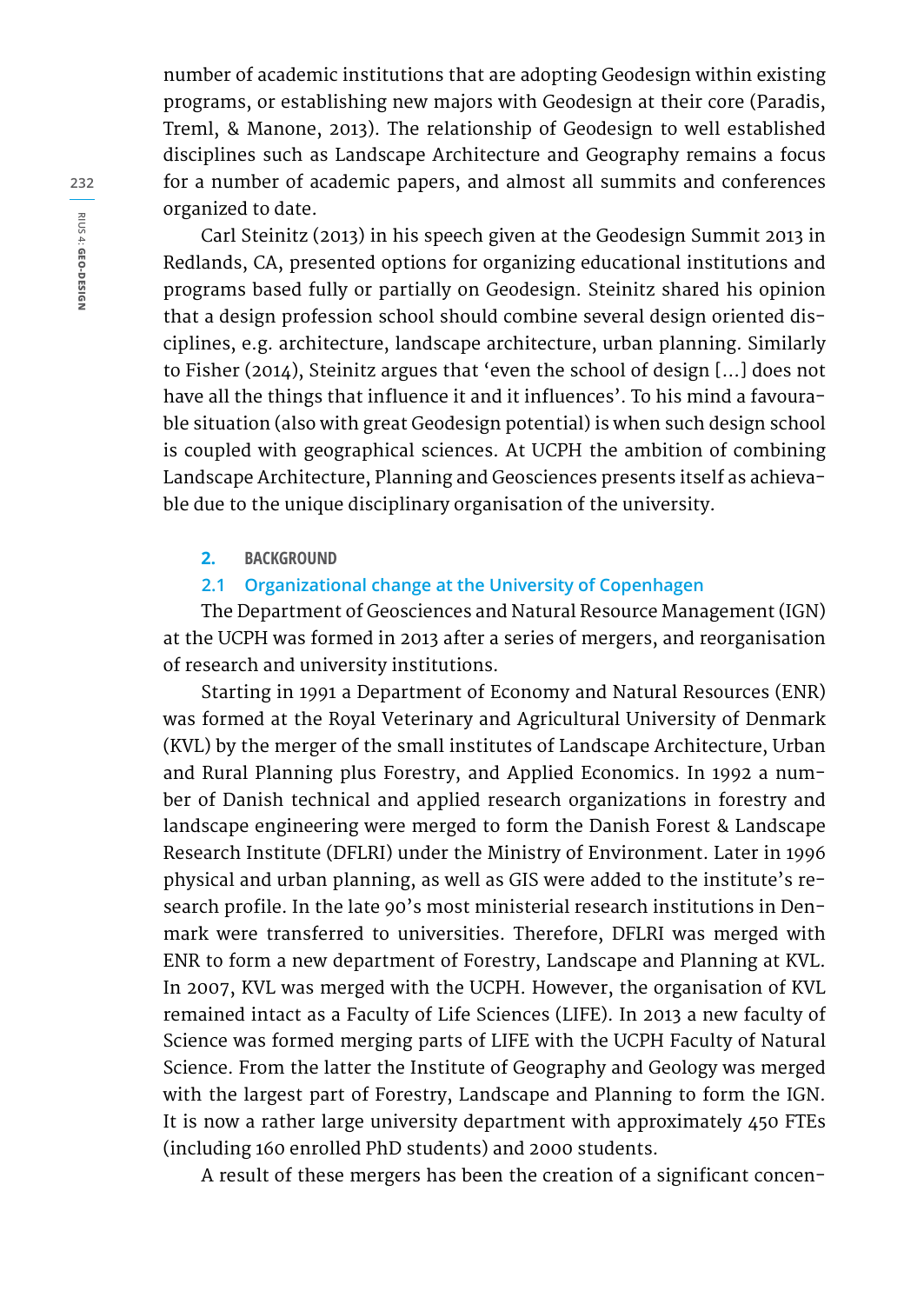number of academic institutions that are adopting Geodesign within existing programs, or establishing new majors with Geodesign at their core (Paradis, Treml, & Manone, 2013). The relationship of Geodesign to well established disciplines such as Landscape Architecture and Geography remains a focus for a number of academic papers, and almost all summits and conferences organized to date.

Carl Steinitz (2013) in his speech given at the Geodesign Summit 2013 in Redlands, CA, presented options for organizing educational institutions and programs based fully or partially on Geodesign. Steinitz shared his opinion that a design profession school should combine several design oriented disciplines, e.g. architecture, landscape architecture, urban planning. Similarly to Fisher (2014), Steinitz argues that 'even the school of design […] does not have all the things that influence it and it influences'. To his mind a favourable situation (also with great Geodesign potential) is when such design school is coupled with geographical sciences. At UCPH the ambition of combining Landscape Architecture, Planning and Geosciences presents itself as achievable due to the unique disciplinary organisation of the university.

#### **2. BACKGROUND**

#### **2.1 Organizational change at the University of Copenhagen**

The Department of Geosciences and Natural Resource Management (IGN) at the UCPH was formed in 2013 after a series of mergers, and reorganisation of research and university institutions.

Starting in 1991 a Department of Economy and Natural Resources (ENR) was formed at the Royal Veterinary and Agricultural University of Denmark (KVL) by the merger of the small institutes of Landscape Architecture, Urban and Rural Planning plus Forestry, and Applied Economics. In 1992 a number of Danish technical and applied research organizations in forestry and landscape engineering were merged to form the Danish Forest & Landscape Research Institute (DFLRI) under the Ministry of Environment. Later in 1996 physical and urban planning, as well as GIS were added to the institute's research profile. In the late 90's most ministerial research institutions in Denmark were transferred to universities. Therefore, DFLRI was merged with ENR to form a new department of Forestry, Landscape and Planning at KVL. In 2007, KVL was merged with the UCPH. However, the organisation of KVL remained intact as a Faculty of Life Sciences (LIFE). In 2013 a new faculty of Science was formed merging parts of LIFE with the UCPH Faculty of Natural Science. From the latter the Institute of Geography and Geology was merged with the largest part of Forestry, Landscape and Planning to form the IGN. It is now a rather large university department with approximately 450 FTEs (including 160 enrolled PhD students) and 2000 students.

A result of these mergers has been the creation of a significant concen-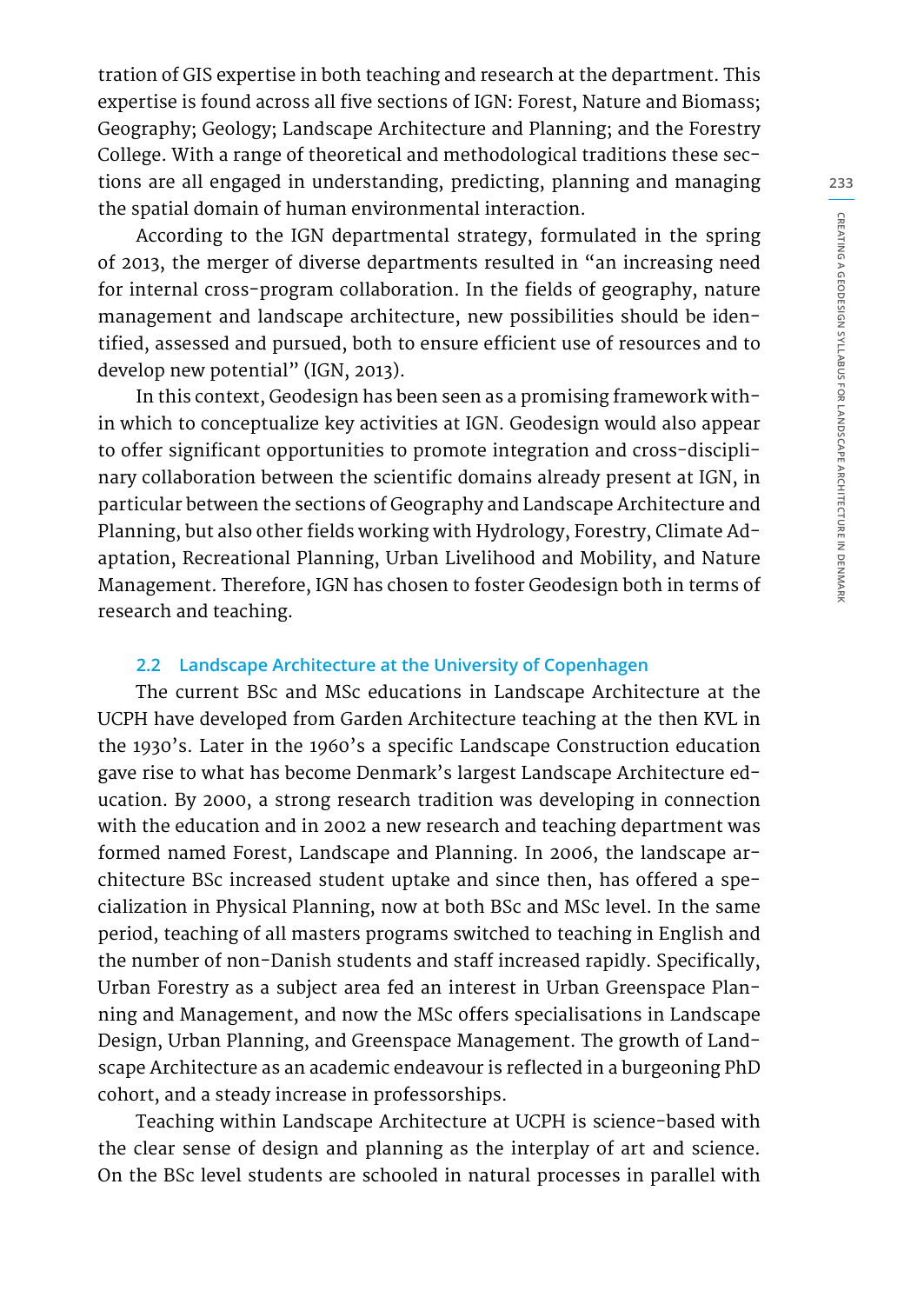tration of GIS expertise in both teaching and research at the department. This expertise is found across all five sections of IGN: Forest, Nature and Biomass; Geography; Geology; Landscape Architecture and Planning; and the Forestry College. With a range of theoretical and methodological traditions these sections are all engaged in understanding, predicting, planning and managing the spatial domain of human environmental interaction.

According to the IGN departmental strategy, formulated in the spring of 2013, the merger of diverse departments resulted in "an increasing need for internal cross-program collaboration. In the fields of geography, nature management and landscape architecture, new possibilities should be identified, assessed and pursued, both to ensure efficient use of resources and to develop new potential" (IGN, 2013).

In this context, Geodesign has been seen as a promising framework within which to conceptualize key activities at IGN. Geodesign would also appear to offer significant opportunities to promote integration and cross-disciplinary collaboration between the scientific domains already present at IGN, in particular between the sections of Geography and Landscape Architecture and Planning, but also other fields working with Hydrology, Forestry, Climate Adaptation, Recreational Planning, Urban Livelihood and Mobility, and Nature Management. Therefore, IGN has chosen to foster Geodesign both in terms of research and teaching.

### **2.2 Landscape Architecture at the University of Copenhagen**

The current BSc and MSc educations in Landscape Architecture at the UCPH have developed from Garden Architecture teaching at the then KVL in the 1930's. Later in the 1960's a specific Landscape Construction education gave rise to what has become Denmark's largest Landscape Architecture education. By 2000, a strong research tradition was developing in connection with the education and in 2002 a new research and teaching department was formed named Forest, Landscape and Planning. In 2006, the landscape architecture BSc increased student uptake and since then, has offered a specialization in Physical Planning, now at both BSc and MSc level. In the same period, teaching of all masters programs switched to teaching in English and the number of non-Danish students and staff increased rapidly. Specifically, Urban Forestry as a subject area fed an interest in Urban Greenspace Planning and Management, and now the MSc offers specialisations in Landscape Design, Urban Planning, and Greenspace Management. The growth of Landscape Architecture as an academic endeavour is reflected in a burgeoning PhD cohort, and a steady increase in professorships.

Teaching within Landscape Architecture at UCPH is science-based with the clear sense of design and planning as the interplay of art and science. On the BSc level students are schooled in natural processes in parallel with

**233**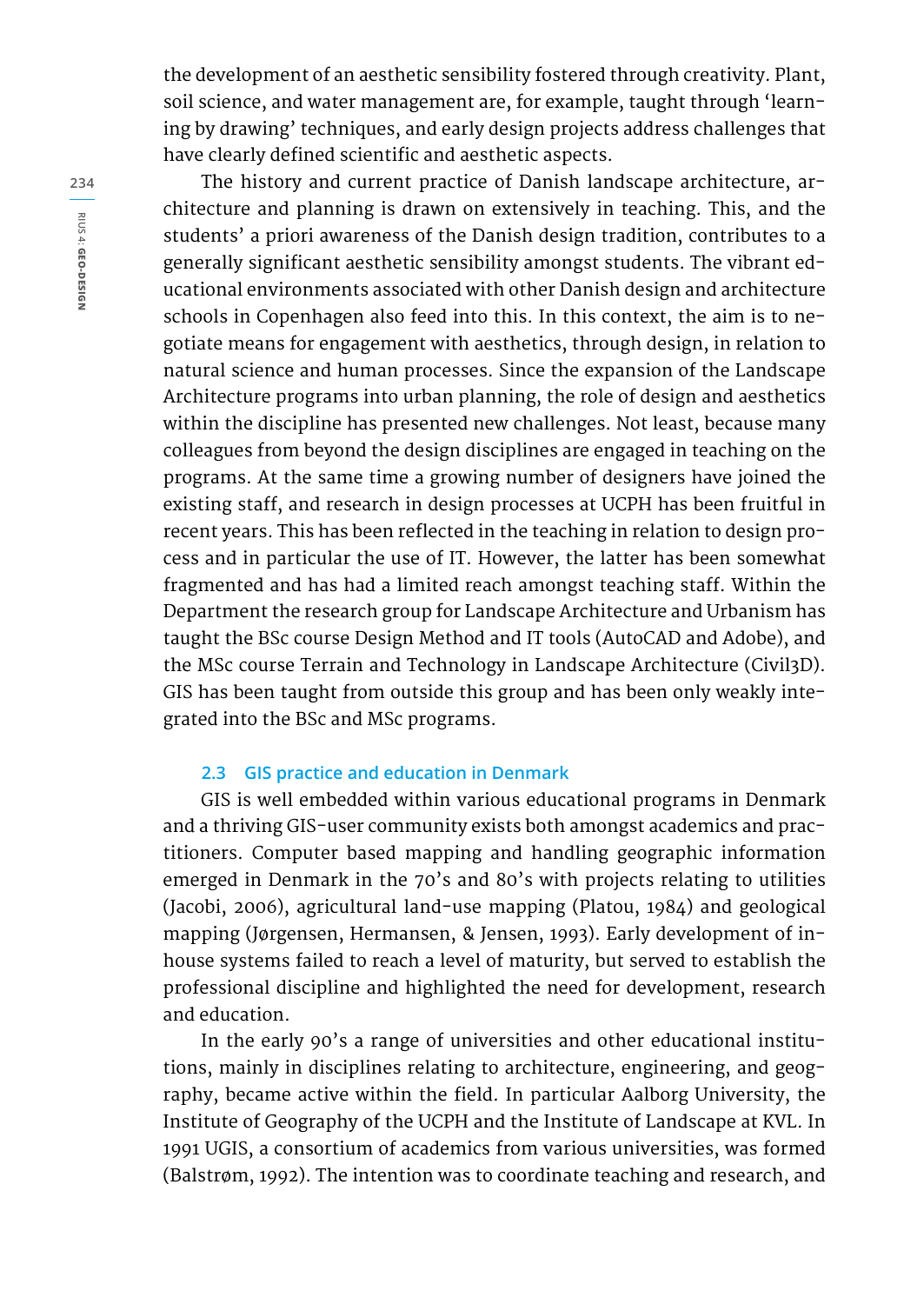the development of an aesthetic sensibility fostered through creativity. Plant, soil science, and water management are, for example, taught through 'learning by drawing' techniques, and early design projects address challenges that have clearly defined scientific and aesthetic aspects.

The history and current practice of Danish landscape architecture, architecture and planning is drawn on extensively in teaching. This, and the students' a priori awareness of the Danish design tradition, contributes to a generally significant aesthetic sensibility amongst students. The vibrant educational environments associated with other Danish design and architecture schools in Copenhagen also feed into this. In this context, the aim is to negotiate means for engagement with aesthetics, through design, in relation to natural science and human processes. Since the expansion of the Landscape Architecture programs into urban planning, the role of design and aesthetics within the discipline has presented new challenges. Not least, because many colleagues from beyond the design disciplines are engaged in teaching on the programs. At the same time a growing number of designers have joined the existing staff, and research in design processes at UCPH has been fruitful in recent years. This has been reflected in the teaching in relation to design process and in particular the use of IT. However, the latter has been somewhat fragmented and has had a limited reach amongst teaching staff. Within the Department the research group for Landscape Architecture and Urbanism has taught the BSc course Design Method and IT tools (AutoCAD and Adobe), and the MSc course Terrain and Technology in Landscape Architecture (Civil3D). GIS has been taught from outside this group and has been only weakly integrated into the BSc and MSc programs.

## **2.3 GIS practice and education in Denmark**

GIS is well embedded within various educational programs in Denmark and a thriving GIS-user community exists both amongst academics and practitioners. Computer based mapping and handling geographic information emerged in Denmark in the 70's and 80's with projects relating to utilities (Jacobi, 2006), agricultural land-use mapping (Platou, 1984) and geological mapping (Jørgensen, Hermansen, & Jensen, 1993). Early development of inhouse systems failed to reach a level of maturity, but served to establish the professional discipline and highlighted the need for development, research and education.

In the early 90's a range of universities and other educational institutions, mainly in disciplines relating to architecture, engineering, and geography, became active within the field. In particular Aalborg University, the Institute of Geography of the UCPH and the Institute of Landscape at KVL. In 1991 UGIS, a consortium of academics from various universities, was formed (Balstrøm, 1992). The intention was to coordinate teaching and research, and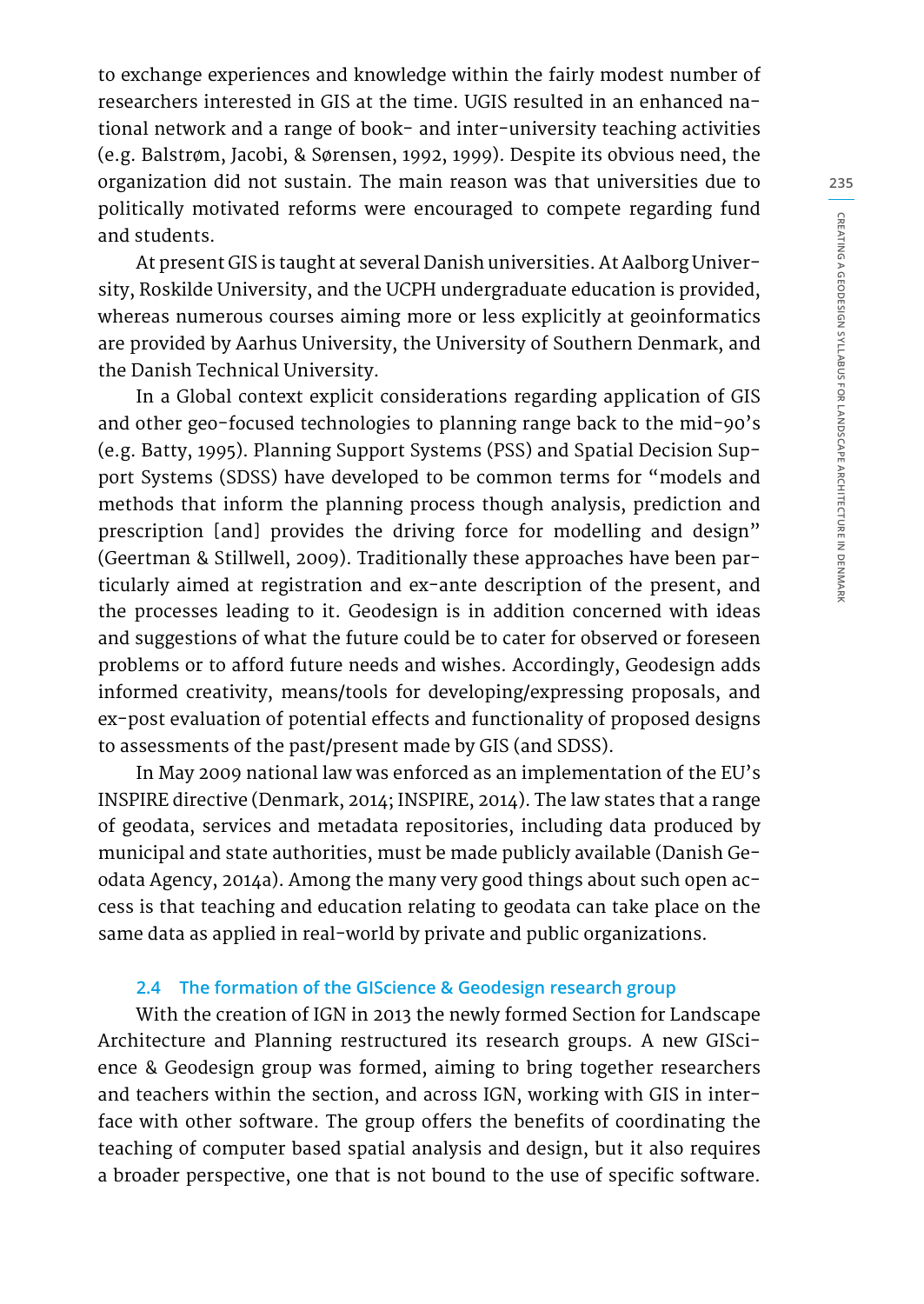to exchange experiences and knowledge within the fairly modest number of researchers interested in GIS at the time. UGIS resulted in an enhanced national network and a range of book- and inter-university teaching activities (e.g. Balstrøm, Jacobi, & Sørensen, 1992, 1999). Despite its obvious need, the organization did not sustain. The main reason was that universities due to politically motivated reforms were encouraged to compete regarding fund and students.

At present GIS is taught at several Danish universities. At Aalborg University, Roskilde University, and the UCPH undergraduate education is provided, whereas numerous courses aiming more or less explicitly at geoinformatics are provided by Aarhus University, the University of Southern Denmark, and the Danish Technical University.

In a Global context explicit considerations regarding application of GIS and other geo-focused technologies to planning range back to the mid-90's (e.g. Batty, 1995). Planning Support Systems (PSS) and Spatial Decision Support Systems (SDSS) have developed to be common terms for "models and methods that inform the planning process though analysis, prediction and prescription [and] provides the driving force for modelling and design" (Geertman & Stillwell, 2009). Traditionally these approaches have been particularly aimed at registration and ex-ante description of the present, and the processes leading to it. Geodesign is in addition concerned with ideas and suggestions of what the future could be to cater for observed or foreseen problems or to afford future needs and wishes. Accordingly, Geodesign adds informed creativity, means/tools for developing/expressing proposals, and ex-post evaluation of potential effects and functionality of proposed designs to assessments of the past/present made by GIS (and SDSS).

In May 2009 national law was enforced as an implementation of the EU's INSPIRE directive (Denmark, 2014; INSPIRE, 2014). The law states that a range of geodata, services and metadata repositories, including data produced by municipal and state authorities, must be made publicly available (Danish Geodata Agency, 2014a). Among the many very good things about such open access is that teaching and education relating to geodata can take place on the same data as applied in real-world by private and public organizations.

### **2.4 The formation of the GIScience & Geodesign research group**

With the creation of IGN in 2013 the newly formed Section for Landscape Architecture and Planning restructured its research groups. A new GIScience & Geodesign group was formed, aiming to bring together researchers and teachers within the section, and across IGN, working with GIS in interface with other software. The group offers the benefits of coordinating the teaching of computer based spatial analysis and design, but it also requires a broader perspective, one that is not bound to the use of specific software.

**235**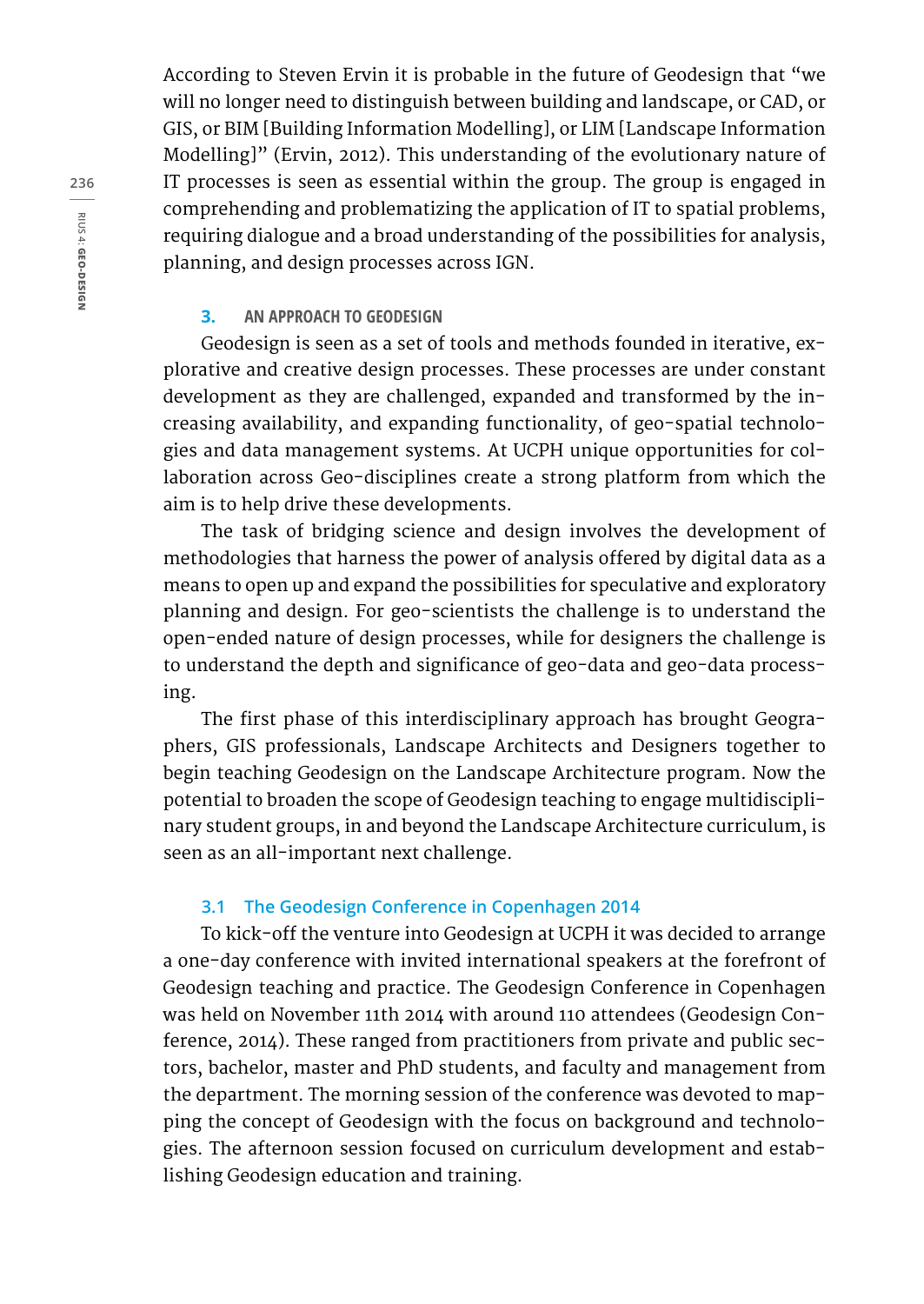According to Steven Ervin it is probable in the future of Geodesign that "we will no longer need to distinguish between building and landscape, or CAD, or GIS, or BIM [Building Information Modelling], or LIM [Landscape Information Modelling]" (Ervin, 2012). This understanding of the evolutionary nature of IT processes is seen as essential within the group. The group is engaged in comprehending and problematizing the application of IT to spatial problems, requiring dialogue and a broad understanding of the possibilities for analysis, planning, and design processes across IGN.

#### **3. AN APPROACH TO GEODESIGN**

Geodesign is seen as a set of tools and methods founded in iterative, explorative and creative design processes. These processes are under constant development as they are challenged, expanded and transformed by the increasing availability, and expanding functionality, of geo-spatial technologies and data management systems. At UCPH unique opportunities for collaboration across Geo-disciplines create a strong platform from which the aim is to help drive these developments.

The task of bridging science and design involves the development of methodologies that harness the power of analysis offered by digital data as a means to open up and expand the possibilities for speculative and exploratory planning and design. For geo-scientists the challenge is to understand the open-ended nature of design processes, while for designers the challenge is to understand the depth and significance of geo-data and geo-data processing.

The first phase of this interdisciplinary approach has brought Geographers, GIS professionals, Landscape Architects and Designers together to begin teaching Geodesign on the Landscape Architecture program. Now the potential to broaden the scope of Geodesign teaching to engage multidisciplinary student groups, in and beyond the Landscape Architecture curriculum, is seen as an all-important next challenge.

#### **3.1 The Geodesign Conference in Copenhagen 2014**

To kick-off the venture into Geodesign at UCPH it was decided to arrange a one-day conference with invited international speakers at the forefront of Geodesign teaching and practice. The Geodesign Conference in Copenhagen was held on November 11th 2014 with around 110 attendees (Geodesign Conference, 2014). These ranged from practitioners from private and public sectors, bachelor, master and PhD students, and faculty and management from the department. The morning session of the conference was devoted to mapping the concept of Geodesign with the focus on background and technologies. The afternoon session focused on curriculum development and establishing Geodesign education and training.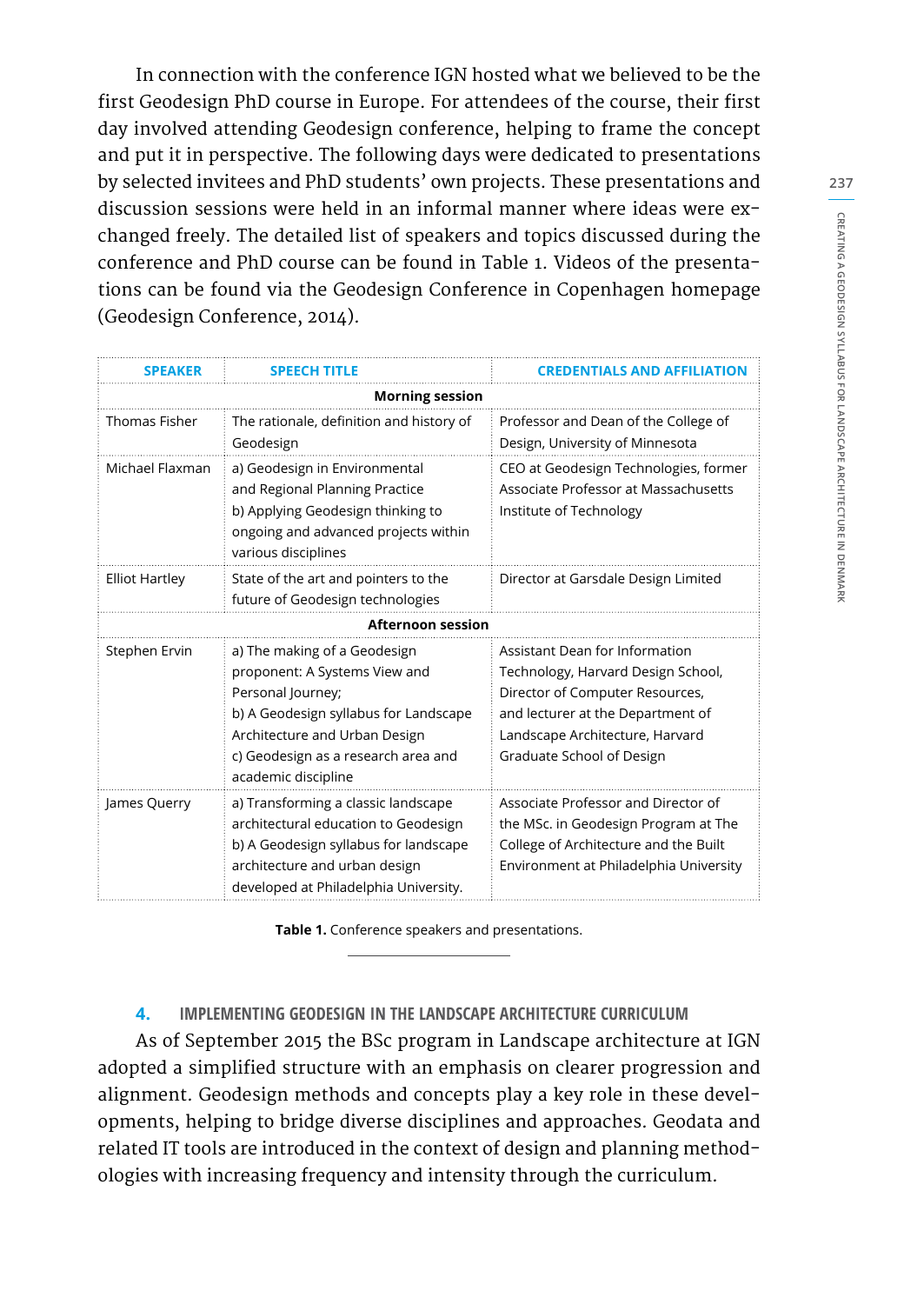In connection with the conference IGN hosted what we believed to be the first Geodesign PhD course in Europe. For attendees of the course, their first day involved attending Geodesign conference, helping to frame the concept and put it in perspective. The following days were dedicated to presentations by selected invitees and PhD students' own projects. These presentations and discussion sessions were held in an informal manner where ideas were exchanged freely. The detailed list of speakers and topics discussed during the conference and PhD course can be found in Table 1. Videos of the presentations can be found via the Geodesign Conference in Copenhagen homepage (Geodesign Conference, 2014).

| <b>SPEAKER</b>           | <b>SPEECH TITLE</b>                                                                                                                                                                                                                                                             | <b>CREDENTIALS AND AFFILIATION</b>                                                                                                                                                                           |  |  |
|--------------------------|---------------------------------------------------------------------------------------------------------------------------------------------------------------------------------------------------------------------------------------------------------------------------------|--------------------------------------------------------------------------------------------------------------------------------------------------------------------------------------------------------------|--|--|
| <b>Morning session</b>   |                                                                                                                                                                                                                                                                                 |                                                                                                                                                                                                              |  |  |
| <b>Thomas Fisher</b>     | The rationale, definition and history of<br>Geodesign                                                                                                                                                                                                                           | Professor and Dean of the College of<br>Design, University of Minnesota                                                                                                                                      |  |  |
| Michael Flaxman          | a) Geodesign in Environmental<br>CEO at Geodesign Technologies, former<br>Associate Professor at Massachusetts<br>and Regional Planning Practice<br>b) Applying Geodesign thinking to<br>Institute of Technology<br>ongoing and advanced projects within<br>various disciplines |                                                                                                                                                                                                              |  |  |
| <b>Elliot Hartley</b>    | State of the art and pointers to the<br>future of Geodesign technologies                                                                                                                                                                                                        | Director at Garsdale Design Limited                                                                                                                                                                          |  |  |
| <b>Afternoon session</b> |                                                                                                                                                                                                                                                                                 |                                                                                                                                                                                                              |  |  |
| Stephen Ervin            | a) The making of a Geodesign<br>proponent: A Systems View and<br>Personal Journey;<br>b) A Geodesign syllabus for Landscape<br>Architecture and Urban Design<br>c) Geodesign as a research area and<br>academic discipline                                                      | Assistant Dean for Information<br>Technology, Harvard Design School,<br>Director of Computer Resources,<br>and lecturer at the Department of<br>Landscape Architecture, Harvard<br>Graduate School of Design |  |  |
| James Querry             | a) Transforming a classic landscape<br>architectural education to Geodesign<br>b) A Geodesign syllabus for landscape<br>architecture and urban design<br>developed at Philadelphia University.                                                                                  | Associate Professor and Director of<br>the MSc. in Geodesign Program at The<br>College of Architecture and the Built<br>Environment at Philadelphia University                                               |  |  |

**Table 1.** Conference speakers and presentations.

**4. IMPLEMENTING GEODESIGN IN THE LANDSCAPE ARCHITECTURE CURRICULUM**

As of September 2015 the BSc program in Landscape architecture at IGN adopted a simplified structure with an emphasis on clearer progression and alignment. Geodesign methods and concepts play a key role in these developments, helping to bridge diverse disciplines and approaches. Geodata and related IT tools are introduced in the context of design and planning methodologies with increasing frequency and intensity through the curriculum.

**237**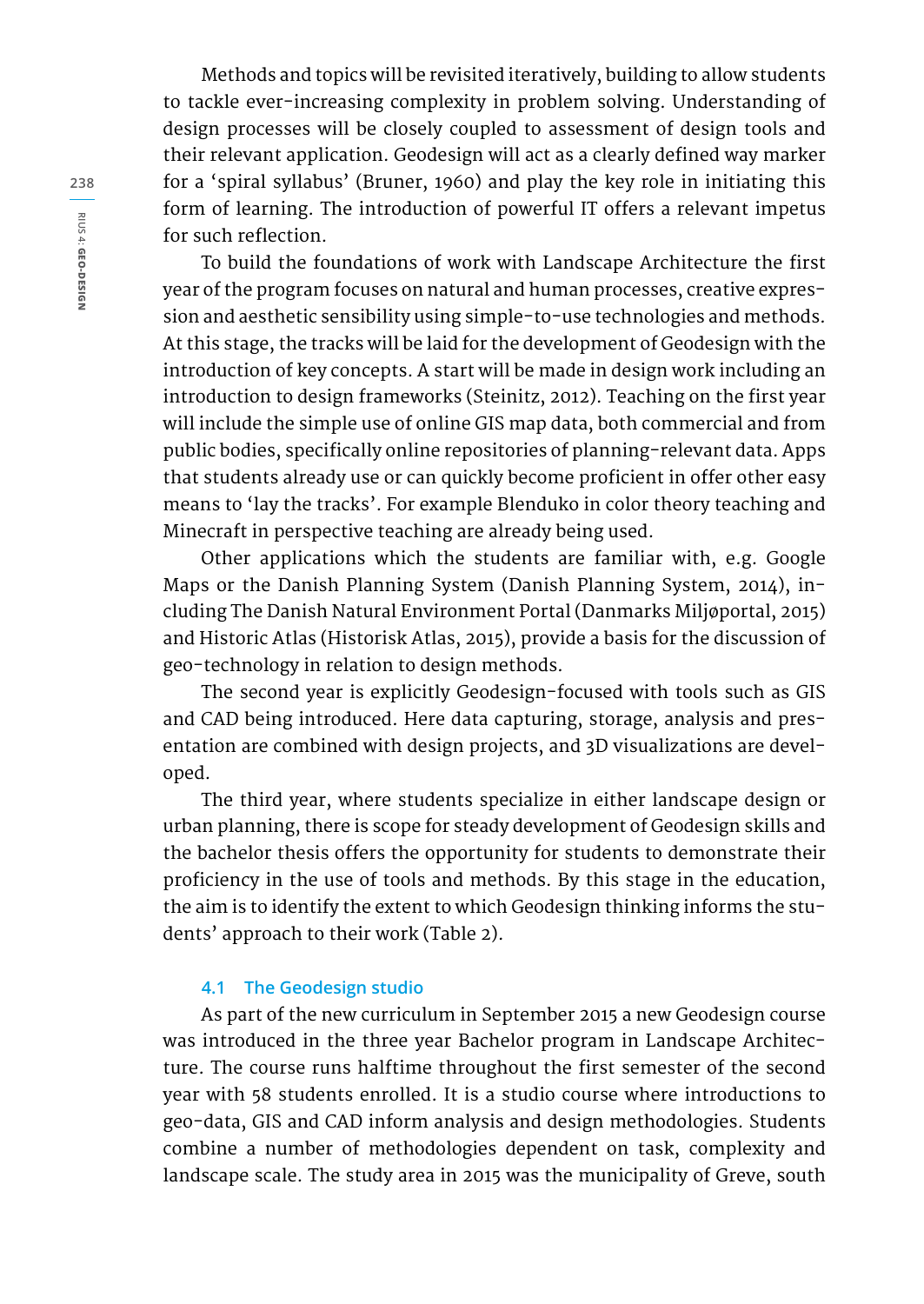Methods and topics will be revisited iteratively, building to allow students to tackle ever-increasing complexity in problem solving. Understanding of design processes will be closely coupled to assessment of design tools and their relevant application. Geodesign will act as a clearly defined way marker for a 'spiral syllabus' (Bruner, 1960) and play the key role in initiating this form of learning. The introduction of powerful IT offers a relevant impetus for such reflection.

To build the foundations of work with Landscape Architecture the first year of the program focuses on natural and human processes, creative expression and aesthetic sensibility using simple-to-use technologies and methods. At this stage, the tracks will be laid for the development of Geodesign with the introduction of key concepts. A start will be made in design work including an introduction to design frameworks (Steinitz, 2012). Teaching on the first year will include the simple use of online GIS map data, both commercial and from public bodies, specifically online repositories of planning-relevant data. Apps that students already use or can quickly become proficient in offer other easy means to 'lay the tracks'. For example Blenduko in color theory teaching and Minecraft in perspective teaching are already being used.

Other applications which the students are familiar with, e.g. Google Maps or the Danish Planning System (Danish Planning System, 2014), including The Danish Natural Environment Portal (Danmarks Miljøportal, 2015) and Historic Atlas (Historisk Atlas, 2015), provide a basis for the discussion of geo-technology in relation to design methods.

The second year is explicitly Geodesign-focused with tools such as GIS and CAD being introduced. Here data capturing, storage, analysis and presentation are combined with design projects, and 3D visualizations are developed.

The third year, where students specialize in either landscape design or urban planning, there is scope for steady development of Geodesign skills and the bachelor thesis offers the opportunity for students to demonstrate their proficiency in the use of tools and methods. By this stage in the education, the aim is to identify the extent to which Geodesign thinking informs the students' approach to their work (Table 2).

### **4.1 The Geodesign studio**

As part of the new curriculum in September 2015 a new Geodesign course was introduced in the three year Bachelor program in Landscape Architecture. The course runs halftime throughout the first semester of the second year with 58 students enrolled. It is a studio course where introductions to geo-data, GIS and CAD inform analysis and design methodologies. Students combine a number of methodologies dependent on task, complexity and landscape scale. The study area in 2015 was the municipality of Greve, south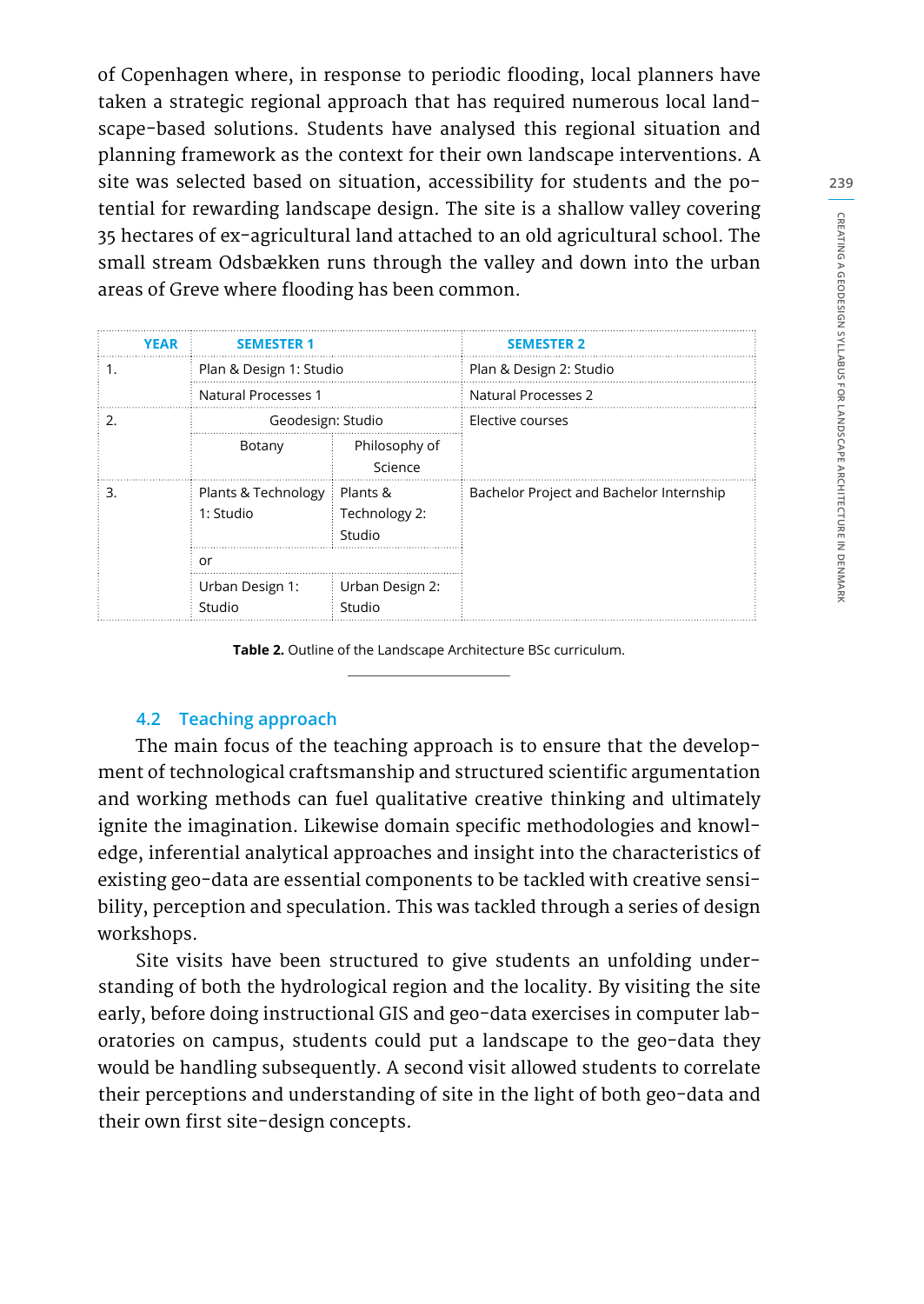of Copenhagen where, in response to periodic flooding, local planners have taken a strategic regional approach that has required numerous local landscape-based solutions. Students have analysed this regional situation and planning framework as the context for their own landscape interventions. A site was selected based on situation, accessibility for students and the potential for rewarding landscape design. The site is a shallow valley covering 35 hectares of ex-agricultural land attached to an old agricultural school. The small stream Odsbækken runs through the valley and down into the urban areas of Greve where flooding has been common.

| <b>YEAR</b> | <b>SEMESTER 1</b>                |                                     | <b>SEMESTER 2</b>                        |
|-------------|----------------------------------|-------------------------------------|------------------------------------------|
|             | Plan & Design 1: Studio          |                                     | Plan & Design 2: Studio                  |
|             | Natural Processes 1              |                                     | Natural Processes 2                      |
|             | Geodesign: Studio                |                                     | Elective courses                         |
|             | Botany                           | Philosophy of<br>Science            |                                          |
| З.          | Plants & Technology<br>1: Studio | Plants &<br>Technology 2:<br>Studio | Bachelor Project and Bachelor Internship |
|             | or                               |                                     |                                          |
|             | Urban Design 1:<br>Studio        | Urban Design 2:<br>Studio           |                                          |

**Table 2.** Outline of the Landscape Architecture BSc curriculum.

#### **4.2 Teaching approach**

The main focus of the teaching approach is to ensure that the development of technological craftsmanship and structured scientific argumentation and working methods can fuel qualitative creative thinking and ultimately ignite the imagination. Likewise domain specific methodologies and knowledge, inferential analytical approaches and insight into the characteristics of existing geo-data are essential components to be tackled with creative sensibility, perception and speculation. This was tackled through a series of design workshops.

Site visits have been structured to give students an unfolding understanding of both the hydrological region and the locality. By visiting the site early, before doing instructional GIS and geo-data exercises in computer laboratories on campus, students could put a landscape to the geo-data they would be handling subsequently. A second visit allowed students to correlate their perceptions and understanding of site in the light of both geo-data and their own first site-design concepts.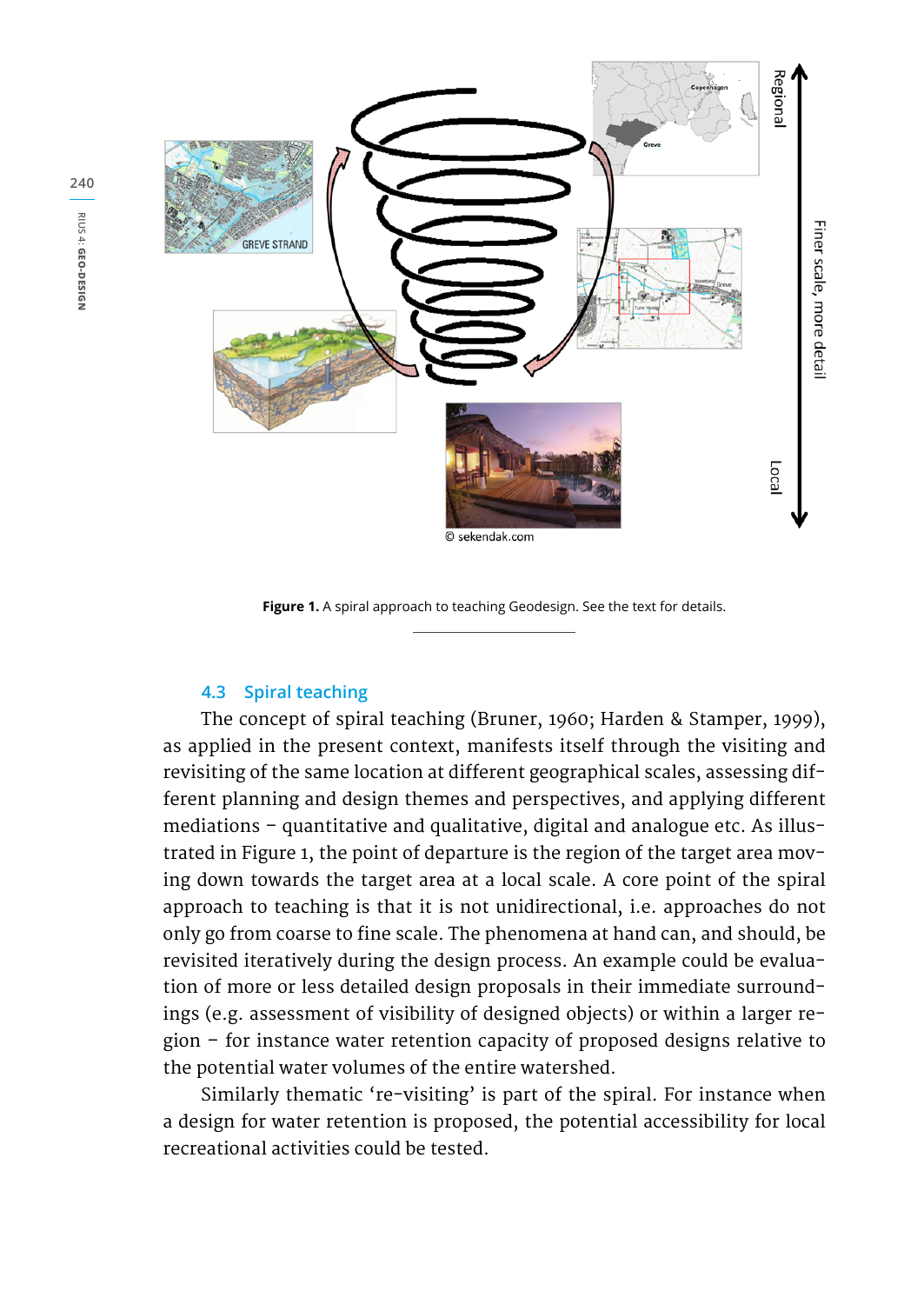

Figure 1. A spiral approach to teaching Geodesign. See the text for details.

# **4.3 Spiral teaching**

The concept of spiral teaching (Bruner, 1960; Harden & Stamper, 1999), as applied in the present context, manifests itself through the visiting and revisiting of the same location at different geographical scales, assessing different planning and design themes and perspectives, and applying different mediations – quantitative and qualitative, digital and analogue etc. As illustrated in Figure 1, the point of departure is the region of the target area moving down towards the target area at a local scale. A core point of the spiral approach to teaching is that it is not unidirectional, i.e. approaches do not only go from coarse to fine scale. The phenomena at hand can, and should, be revisited iteratively during the design process. An example could be evaluation of more or less detailed design proposals in their immediate surroundings (e.g. assessment of visibility of designed objects) or within a larger region – for instance water retention capacity of proposed designs relative to the potential water volumes of the entire watershed.

Similarly thematic 're-visiting' is part of the spiral. For instance when a design for water retention is proposed, the potential accessibility for local recreational activities could be tested.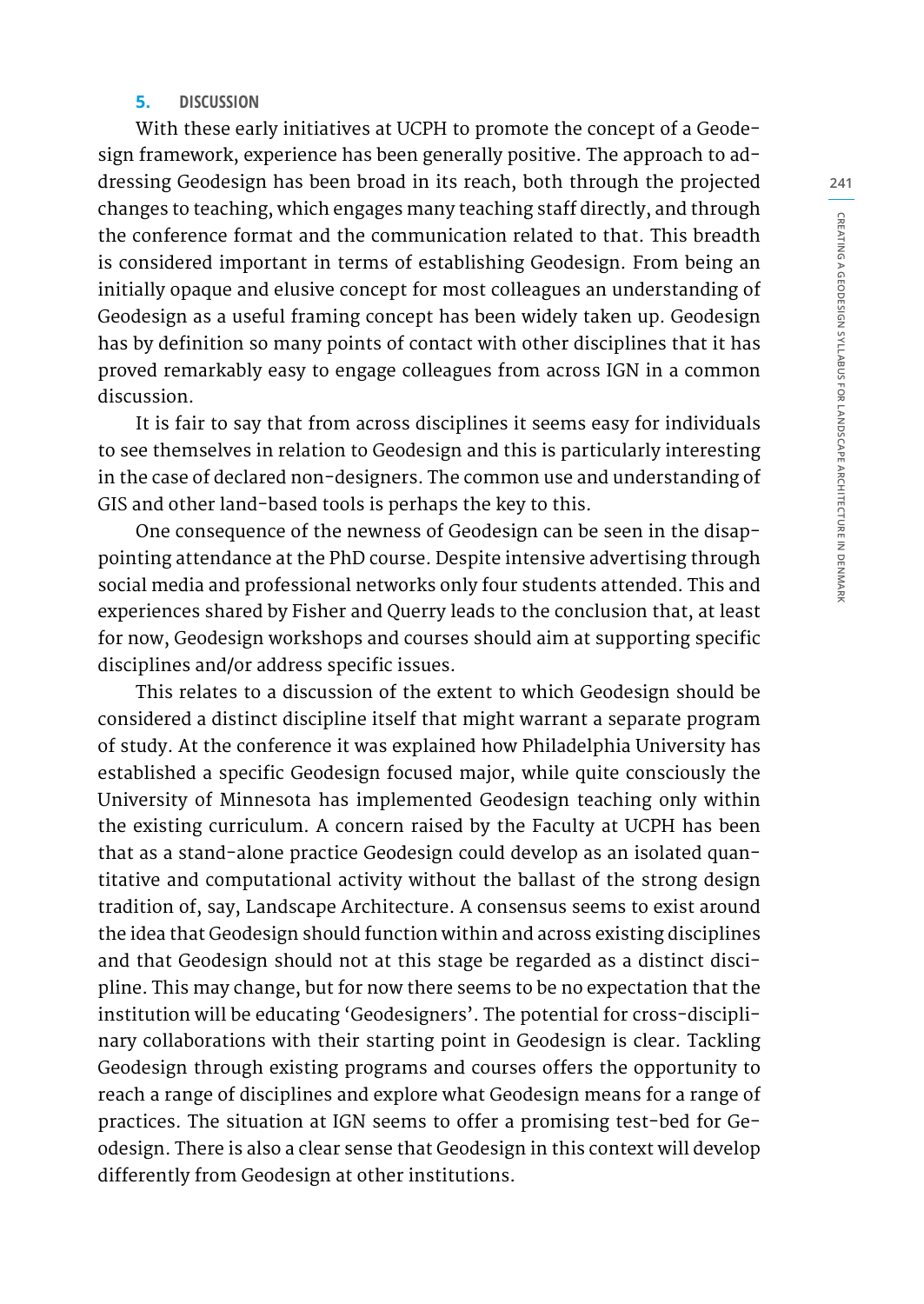#### **5. DISCUSSION**

With these early initiatives at UCPH to promote the concept of a Geodesign framework, experience has been generally positive. The approach to addressing Geodesign has been broad in its reach, both through the projected changes to teaching, which engages many teaching staff directly, and through the conference format and the communication related to that. This breadth is considered important in terms of establishing Geodesign. From being an initially opaque and elusive concept for most colleagues an understanding of Geodesign as a useful framing concept has been widely taken up. Geodesign has by definition so many points of contact with other disciplines that it has proved remarkably easy to engage colleagues from across IGN in a common discussion.

It is fair to say that from across disciplines it seems easy for individuals to see themselves in relation to Geodesign and this is particularly interesting in the case of declared non-designers. The common use and understanding of GIS and other land-based tools is perhaps the key to this.

One consequence of the newness of Geodesign can be seen in the disappointing attendance at the PhD course. Despite intensive advertising through social media and professional networks only four students attended. This and experiences shared by Fisher and Querry leads to the conclusion that, at least for now, Geodesign workshops and courses should aim at supporting specific disciplines and/or address specific issues.

This relates to a discussion of the extent to which Geodesign should be considered a distinct discipline itself that might warrant a separate program of study. At the conference it was explained how Philadelphia University has established a specific Geodesign focused major, while quite consciously the University of Minnesota has implemented Geodesign teaching only within the existing curriculum. A concern raised by the Faculty at UCPH has been that as a stand-alone practice Geodesign could develop as an isolated quantitative and computational activity without the ballast of the strong design tradition of, say, Landscape Architecture. A consensus seems to exist around the idea that Geodesign should function within and across existing disciplines and that Geodesign should not at this stage be regarded as a distinct discipline. This may change, but for now there seems to be no expectation that the institution will be educating 'Geodesigners'. The potential for cross-disciplinary collaborations with their starting point in Geodesign is clear. Tackling Geodesign through existing programs and courses offers the opportunity to reach a range of disciplines and explore what Geodesign means for a range of practices. The situation at IGN seems to offer a promising test-bed for Geodesign. There is also a clear sense that Geodesign in this context will develop differently from Geodesign at other institutions.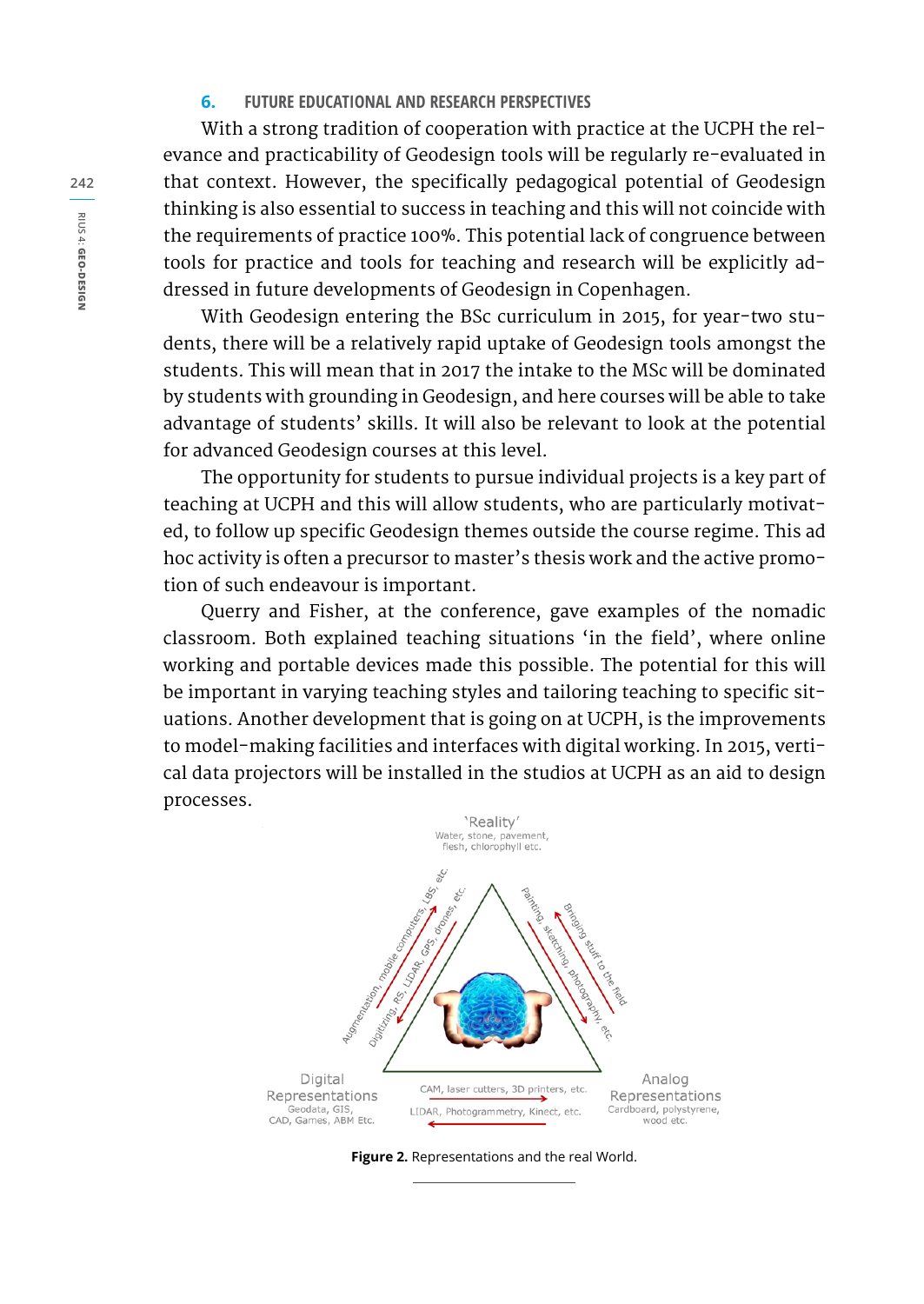#### **6. FUTURE EDUCATIONAL AND RESEARCH PERSPECTIVES**

With a strong tradition of cooperation with practice at the UCPH the relevance and practicability of Geodesign tools will be regularly re-evaluated in that context. However, the specifically pedagogical potential of Geodesign thinking is also essential to success in teaching and this will not coincide with the requirements of practice 100%. This potential lack of congruence between tools for practice and tools for teaching and research will be explicitly addressed in future developments of Geodesign in Copenhagen.

With Geodesign entering the BSc curriculum in 2015, for year-two students, there will be a relatively rapid uptake of Geodesign tools amongst the students. This will mean that in 2017 the intake to the MSc will be dominated by students with grounding in Geodesign, and here courses will be able to take advantage of students' skills. It will also be relevant to look at the potential for advanced Geodesign courses at this level.

The opportunity for students to pursue individual projects is a key part of teaching at UCPH and this will allow students, who are particularly motivated, to follow up specific Geodesign themes outside the course regime. This ad hoc activity is often a precursor to master's thesis work and the active promotion of such endeavour is important.

Querry and Fisher, at the conference, gave examples of the nomadic classroom. Both explained teaching situations 'in the field', where online working and portable devices made this possible. The potential for this will be important in varying teaching styles and tailoring teaching to specific situations. Another development that is going on at UCPH, is the improvements to model-making facilities and interfaces with digital working. In 2015, vertical data projectors will be installed in the studios at UCPH as an aid to design processes.



**Figure 2.** Representations and the real World.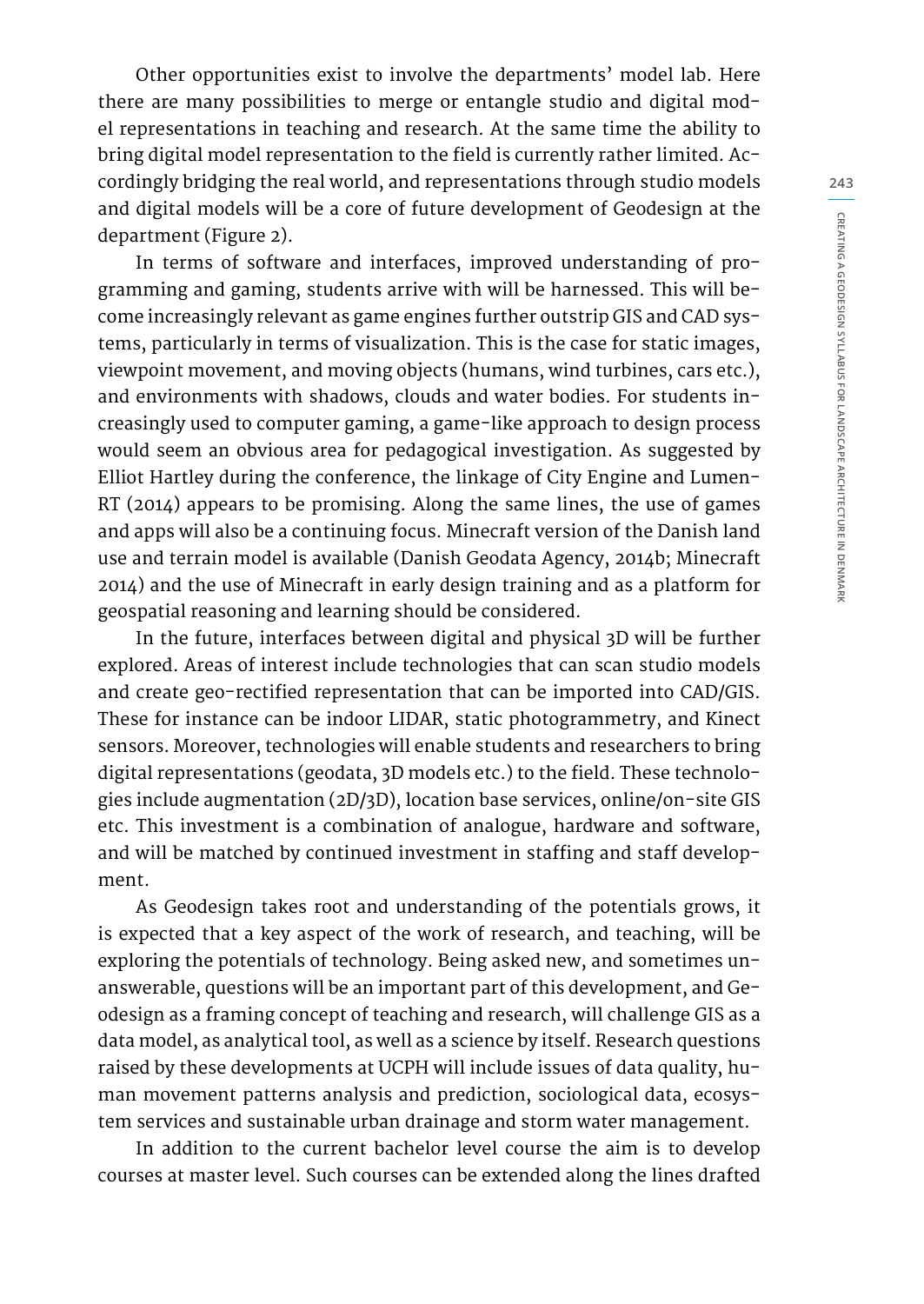Other opportunities exist to involve the departments' model lab. Here there are many possibilities to merge or entangle studio and digital model representations in teaching and research. At the same time the ability to bring digital model representation to the field is currently rather limited. Accordingly bridging the real world, and representations through studio models and digital models will be a core of future development of Geodesign at the department (Figure 2).

In terms of software and interfaces, improved understanding of programming and gaming, students arrive with will be harnessed. This will become increasingly relevant as game engines further outstrip GIS and CAD systems, particularly in terms of visualization. This is the case for static images, viewpoint movement, and moving objects (humans, wind turbines, cars etc.), and environments with shadows, clouds and water bodies. For students increasingly used to computer gaming, a game-like approach to design process would seem an obvious area for pedagogical investigation. As suggested by Elliot Hartley during the conference, the linkage of City Engine and Lumen-RT (2014) appears to be promising. Along the same lines, the use of games and apps will also be a continuing focus. Minecraft version of the Danish land use and terrain model is available (Danish Geodata Agency, 2014b; Minecraft 2014) and the use of Minecraft in early design training and as a platform for geospatial reasoning and learning should be considered.

In the future, interfaces between digital and physical 3D will be further explored. Areas of interest include technologies that can scan studio models and create geo-rectified representation that can be imported into CAD/GIS. These for instance can be indoor LIDAR, static photogrammetry, and Kinect sensors. Moreover, technologies will enable students and researchers to bring digital representations (geodata, 3D models etc.) to the field. These technologies include augmentation (2D/3D), location base services, online/on-site GIS etc. This investment is a combination of analogue, hardware and software, and will be matched by continued investment in staffing and staff development.

As Geodesign takes root and understanding of the potentials grows, it is expected that a key aspect of the work of research, and teaching, will be exploring the potentials of technology. Being asked new, and sometimes unanswerable, questions will be an important part of this development, and Geodesign as a framing concept of teaching and research, will challenge GIS as a data model, as analytical tool, as well as a science by itself. Research questions raised by these developments at UCPH will include issues of data quality, human movement patterns analysis and prediction, sociological data, ecosystem services and sustainable urban drainage and storm water management.

In addition to the current bachelor level course the aim is to develop courses at master level. Such courses can be extended along the lines drafted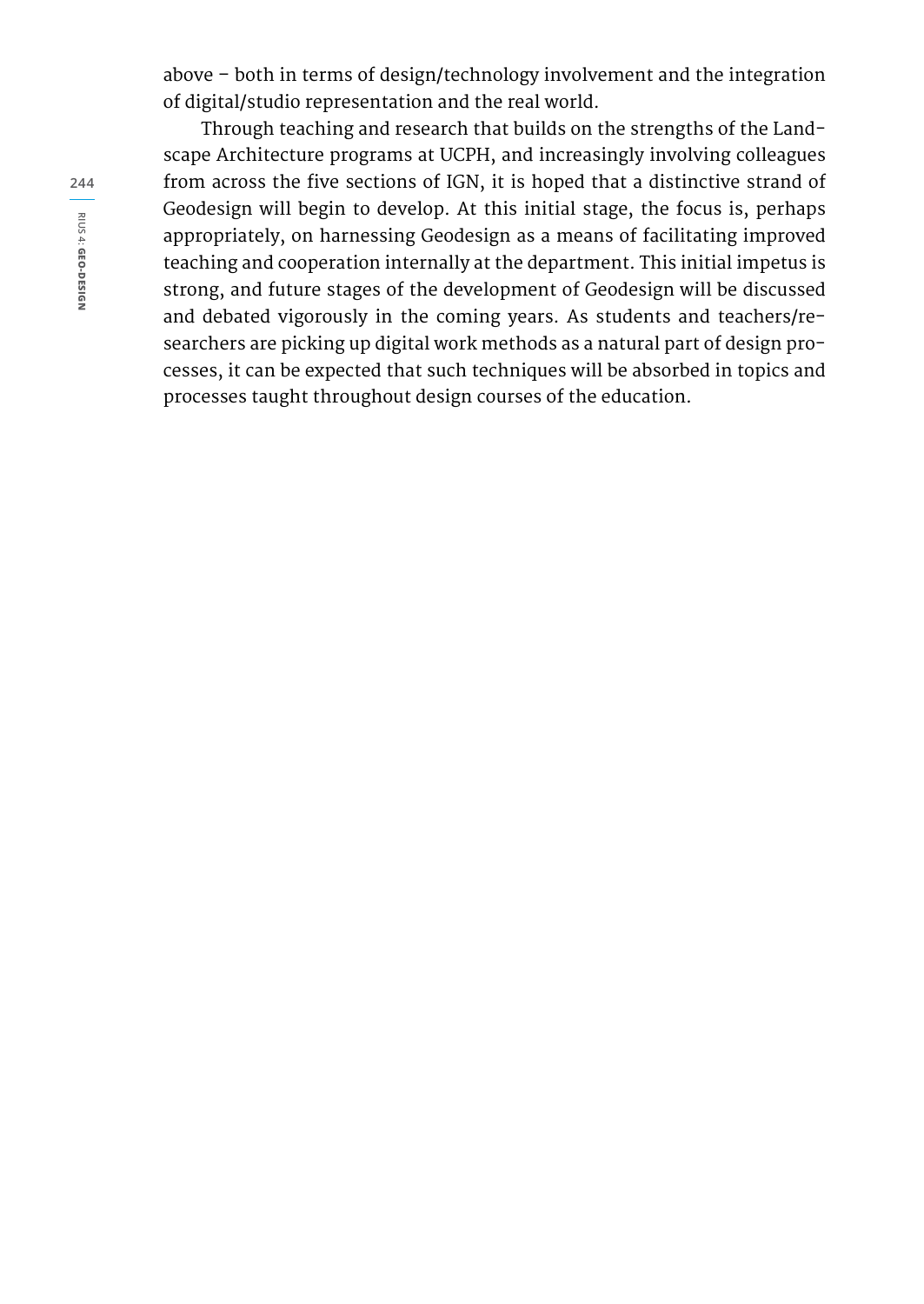above – both in terms of design/technology involvement and the integration of digital/studio representation and the real world.

Through teaching and research that builds on the strengths of the Landscape Architecture programs at UCPH, and increasingly involving colleagues from across the five sections of IGN, it is hoped that a distinctive strand of Geodesign will begin to develop. At this initial stage, the focus is, perhaps appropriately, on harnessing Geodesign as a means of facilitating improved teaching and cooperation internally at the department. This initial impetus is strong, and future stages of the development of Geodesign will be discussed and debated vigorously in the coming years. As students and teachers/researchers are picking up digital work methods as a natural part of design processes, it can be expected that such techniques will be absorbed in topics and processes taught throughout design courses of the education.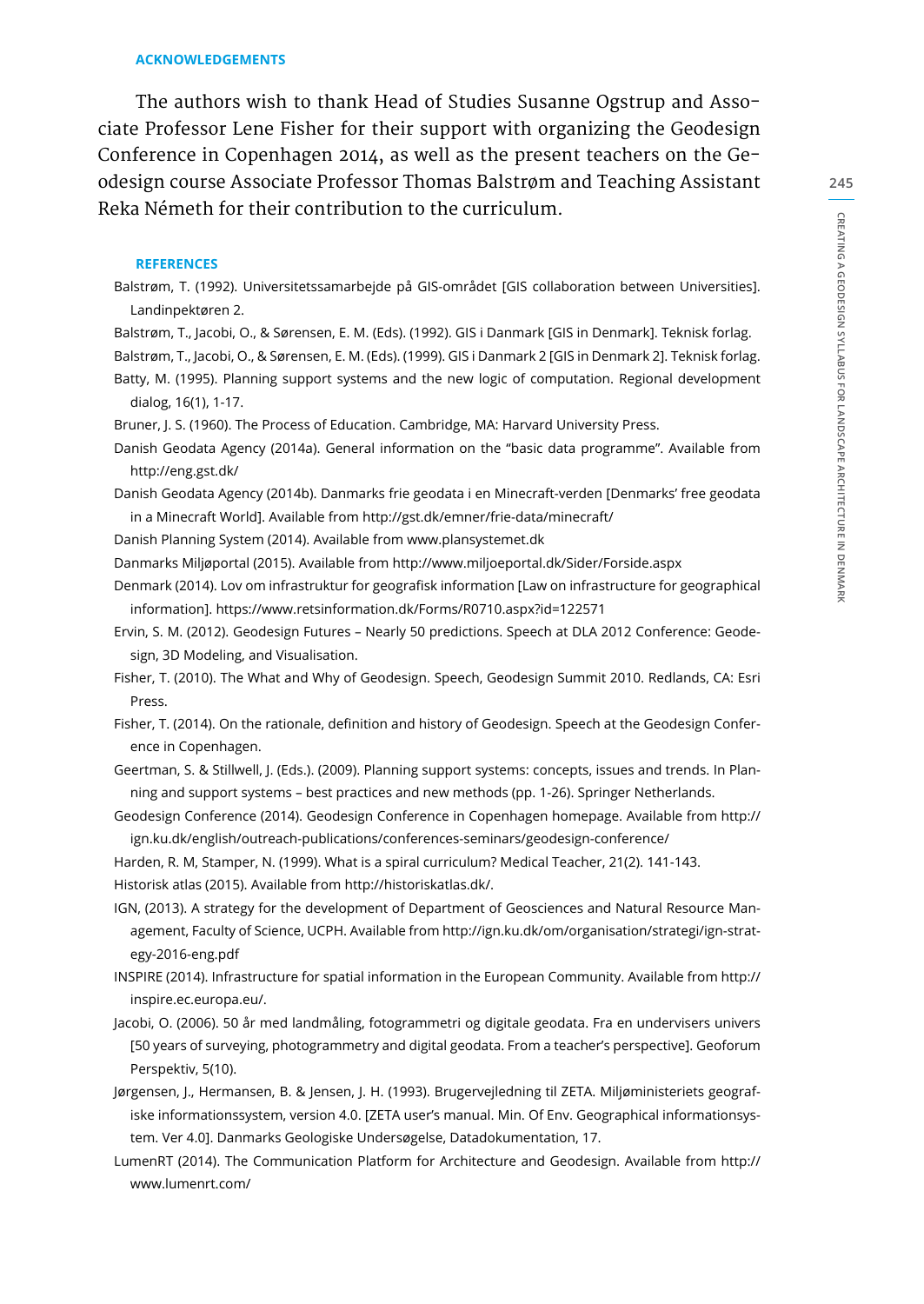#### **ACKNOWLEDGEMENTS**

The authors wish to thank Head of Studies Susanne Ogstrup and Associate Professor Lene Fisher for their support with organizing the Geodesign Conference in Copenhagen 2014, as well as the present teachers on the Geodesign course Associate Professor Thomas Balstrøm and Teaching Assistant Reka Németh for their contribution to the curriculum.

#### **REFERENCES**

- Balstrøm, T. (1992). Universitetssamarbejde på GIS-området [GIS collaboration between Universities]. Landinpektøren 2.
- Balstrøm, T., Jacobi, O., & Sørensen, E. M. (Eds). (1992). GIS i Danmark [GIS in Denmark]. Teknisk forlag.
- Balstrøm, T., Jacobi, O., & Sørensen, E. M. (Eds). (1999). GIS i Danmark 2 [GIS in Denmark 2]. Teknisk forlag.
- Batty, M. (1995). Planning support systems and the new logic of computation. Regional development dialog, 16(1), 1-17.
- Bruner, J. S. (1960). The Process of Education. Cambridge, MA: Harvard University Press.
- Danish Geodata Agency (2014a). General information on the "basic data programme". Available from http://eng.gst.dk/

Danish Geodata Agency (2014b). Danmarks frie geodata i en Minecraft-verden [Denmarks' free geodata in a Minecraft World]. Available from http://gst.dk/emner/frie-data/minecraft/

Danish Planning System (2014). Available from www.plansystemet.dk

Danmarks Miljøportal (2015). Available from http://www.miljoeportal.dk/Sider/Forside.aspx

Denmark (2014). Lov om infrastruktur for geografisk information [Law on infrastructure for geographical information]. https://www.retsinformation.dk/Forms/R0710.aspx?id=122571

- Ervin, S. M. (2012). Geodesign Futures Nearly 50 predictions. Speech at DLA 2012 Conference: Geodesign, 3D Modeling, and Visualisation.
- Fisher, T. (2010). The What and Why of Geodesign. Speech, Geodesign Summit 2010. Redlands, CA: Esri Press.
- Fisher, T. (2014). On the rationale, definition and history of Geodesign. Speech at the Geodesign Conference in Copenhagen.
- Geertman, S. & Stillwell, J. (Eds.). (2009). Planning support systems: concepts, issues and trends. In Planning and support systems – best practices and new methods (pp. 1-26). Springer Netherlands.
- Geodesign Conference (2014). Geodesign Conference in Copenhagen homepage. Available from http:// ign.ku.dk/english/outreach-publications/conferences-seminars/geodesign-conference/

Harden, R. M, Stamper, N. (1999). What is a spiral curriculum? Medical Teacher, 21(2). 141-143. Historisk atlas (2015). Available from http://historiskatlas.dk/.

IGN, (2013). A strategy for the development of Department of Geosciences and Natural Resource Management, Faculty of Science, UCPH. Available from http://ign.ku.dk/om/organisation/strategi/ign-strategy-2016-eng.pdf

INSPIRE (2014). Infrastructure for spatial information in the European Community. Available from http:// inspire.ec.europa.eu/.

- Jacobi, O. (2006). 50 år med landmåling, fotogrammetri og digitale geodata. Fra en undervisers univers [50 years of surveying, photogrammetry and digital geodata. From a teacher's perspective]. Geoforum Perspektiv, 5(10).
- Jørgensen, J., Hermansen, B. & Jensen, J. H. (1993). Brugervejledning til ZETA. Miljøministeriets geografiske informationssystem, version 4.0. [ZETA user's manual. Min. Of Env. Geographical informationsystem. Ver 4.0]. Danmarks Geologiske Undersøgelse, Datadokumentation, 17.
- LumenRT (2014). The Communication Platform for Architecture and Geodesign. Available from http:// www.lumenrt.com/

**CREATING A GEODESIGN SYLLABUS FOR LANDSCAPE ARCHITECTURE IN DENMARK**

CREATING A GEODESIGN SYLLABUS FOR LANDSCAPE ARCHITECTURE IN DENMARK